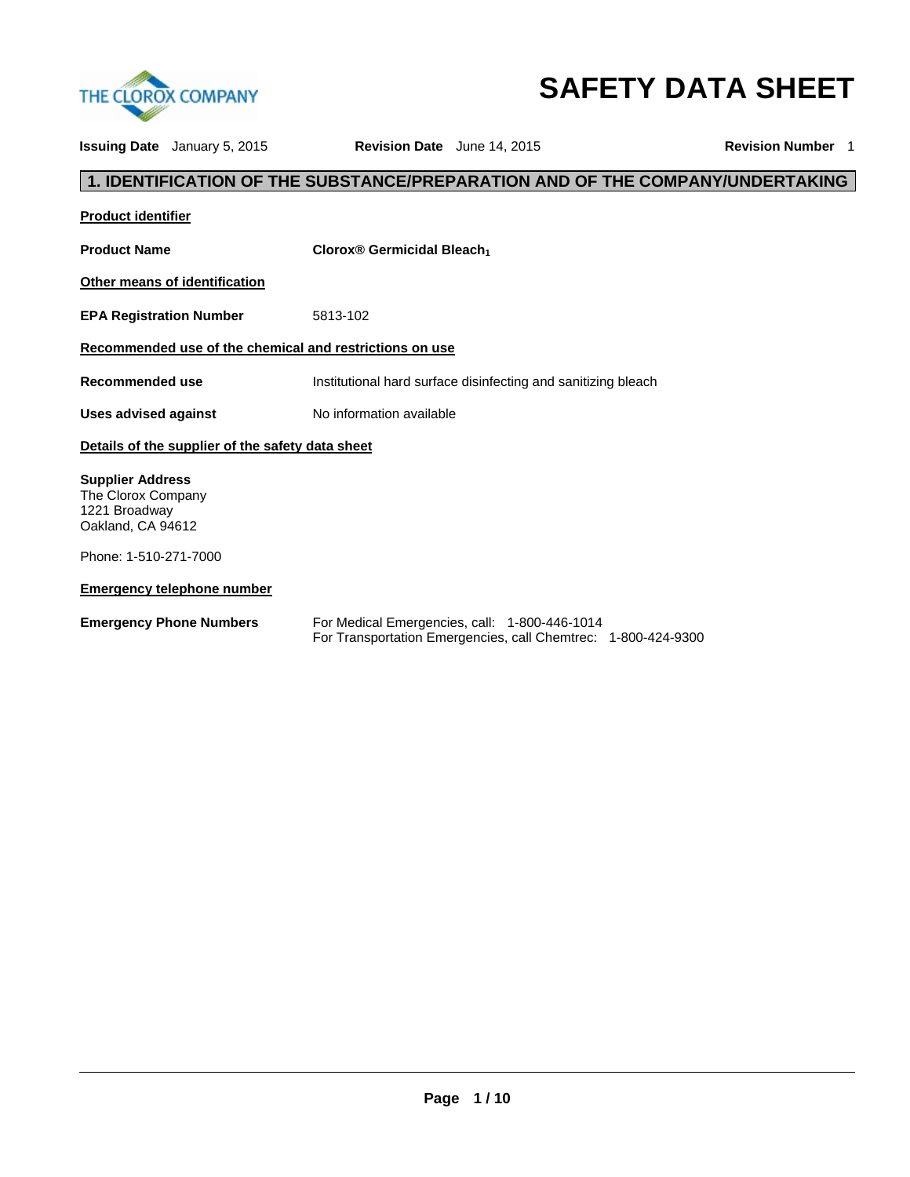

# **SAFETY DATA SHEET**

**Issuing Date** January 5, 2015 **Revision Date** June 14, 2015 **Revision Number** 1

# **1. IDENTIFICATION OF THE SUBSTANCE/PREPARATION AND OF THE COMPANY/UNDERTAKING**

| <b>Product identifier</b>                                                                                    |                                                                                                                |  |  |  |
|--------------------------------------------------------------------------------------------------------------|----------------------------------------------------------------------------------------------------------------|--|--|--|
| <b>Product Name</b>                                                                                          | Clorox® Germicidal Bleach                                                                                      |  |  |  |
| Other means of identification                                                                                |                                                                                                                |  |  |  |
| <b>EPA Registration Number</b>                                                                               | 5813-102                                                                                                       |  |  |  |
| Recommended use of the chemical and restrictions on use                                                      |                                                                                                                |  |  |  |
| Recommended use                                                                                              | Institutional hard surface disinfecting and sanitizing bleach                                                  |  |  |  |
| <b>Uses advised against</b>                                                                                  | No information available                                                                                       |  |  |  |
| Details of the supplier of the safety data sheet                                                             |                                                                                                                |  |  |  |
| <b>Supplier Address</b><br>The Clorox Company<br>1221 Broadway<br>Oakland, CA 94612<br>Phone: 1-510-271-7000 |                                                                                                                |  |  |  |
| <b>Emergency telephone number</b>                                                                            |                                                                                                                |  |  |  |
| <b>Emergency Phone Numbers</b>                                                                               | For Medical Emergencies, call: 1-800-446-1014<br>For Transportation Emergencies, call Chemtrec: 1-800-424-9300 |  |  |  |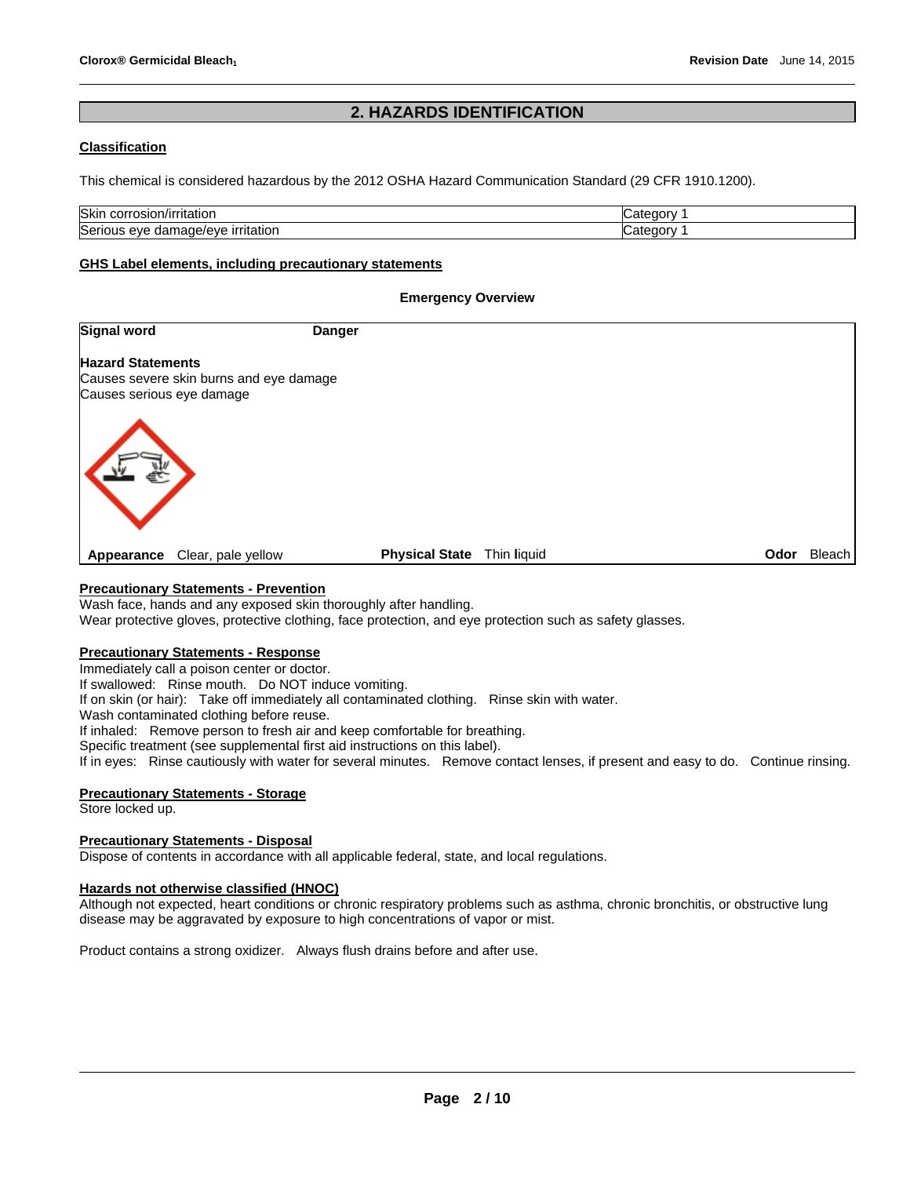# **2. HAZARDS IDENTIFICATION**

# **Classification**

This chemical is considered hazardous by the 2012 OSHA Hazard Communication Standard (29 CFR 1910.1200).

| <b>Skin</b><br>rıtatıor<br>oslon.<br>- JOHN<br>      | .,<br>≅aorv<br>. הר |
|------------------------------------------------------|---------------------|
| Serio<br>ırrıtatıor<br>iade/eve<br>eve<br>aar<br>пла | œ<br>*≏annv         |

## **GHS Label elements, including precautionary statements**

## **Emergency Overview**

| Signal word                                                                                      | <b>Danger</b> |                                      |             |
|--------------------------------------------------------------------------------------------------|---------------|--------------------------------------|-------------|
| <b>Hazard Statements</b><br>Causes severe skin burns and eye damage<br>Causes serious eye damage |               |                                      |             |
|                                                                                                  |               |                                      |             |
| Clear, pale yellow<br>Appearance                                                                 |               | <b>Physical State</b><br>Thin liquid | Odor Bleach |

# **Precautionary Statements - Prevention**

Wash face, hands and any exposed skin thoroughly after handling.

Wear protective gloves, protective clothing, face protection, and eye protection such as safety glasses.

# **Precautionary Statements - Response**

Immediately call a poison center or doctor.

If swallowed: Rinse mouth. Do NOT induce vomiting.

If on skin (or hair): Take off immediately all contaminated clothing. Rinse skin with water.

Wash contaminated clothing before reuse.

If inhaled: Remove person to fresh air and keep comfortable for breathing.

Specific treatment (see supplemental first aid instructions on this label).

If in eyes: Rinse cautiously with water for several minutes. Remove contact lenses, if present and easy to do. Continue rinsing.

# **Precautionary Statements - Storage**

Store locked up.

# **Precautionary Statements - Disposal**

Dispose of contents in accordance with all applicable federal, state, and local regulations.

# **Hazards not otherwise classified (HNOC)**

Although not expected, heart conditions or chronic respiratory problems such as asthma, chronic bronchitis, or obstructive lung disease may be aggravated by exposure to high concentrations of vapor or mist.

Product contains a strong oxidizer. Always flush drains before and after use.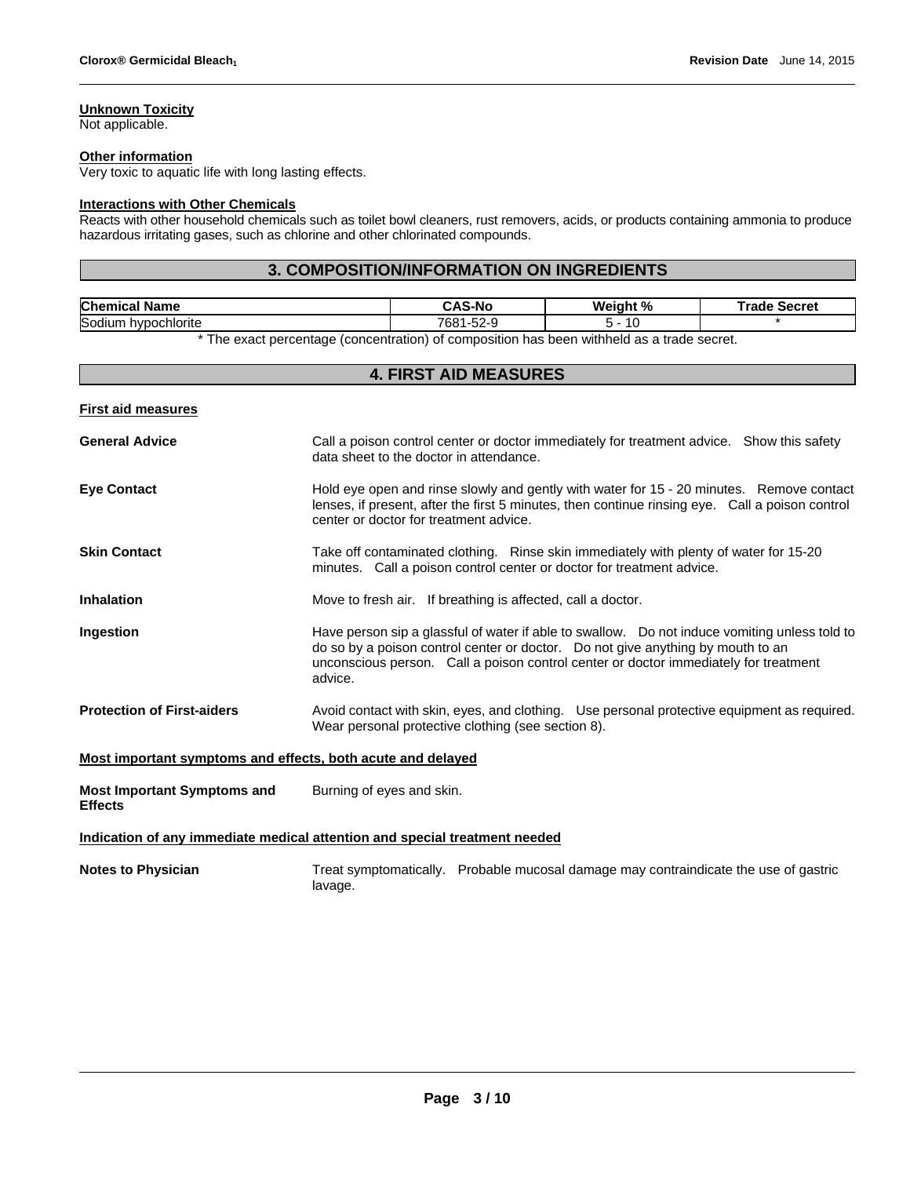# **Unknown Toxicity**

Not applicable.

#### **Other information**

Very toxic to aquatic life with long lasting effects.

#### **Interactions with Other Chemicals**

Reacts with other household chemicals such as toilet bowl cleaners, rust removers, acids, or products containing ammonia to produce hazardous irritating gases, such as chlorine and other chlorinated compounds.

# **3. COMPOSITION/INFORMATION ON INGREDIENTS**

| $\sim$ , and the state of the state of the state of the state of the state of the state of the state of the state of the state of the state of the state of the state of the state of the state of the state of the state of th |
|---------------------------------------------------------------------------------------------------------------------------------------------------------------------------------------------------------------------------------|

\* The exact percentage (concentration) of composition has been withheld as a trade secret.

|                                                                            | <b>4. FIRST AID MEASURES</b>                                                                                                                                                                                                                                                         |  |  |
|----------------------------------------------------------------------------|--------------------------------------------------------------------------------------------------------------------------------------------------------------------------------------------------------------------------------------------------------------------------------------|--|--|
| <b>First aid measures</b>                                                  |                                                                                                                                                                                                                                                                                      |  |  |
| <b>General Advice</b>                                                      | Call a poison control center or doctor immediately for treatment advice. Show this safety<br>data sheet to the doctor in attendance.                                                                                                                                                 |  |  |
| <b>Eve Contact</b>                                                         | Hold eye open and rinse slowly and gently with water for 15 - 20 minutes. Remove contact<br>lenses, if present, after the first 5 minutes, then continue rinsing eye. Call a poison control<br>center or doctor for treatment advice.                                                |  |  |
| <b>Skin Contact</b>                                                        | Take off contaminated clothing. Rinse skin immediately with plenty of water for 15-20<br>minutes. Call a poison control center or doctor for treatment advice.                                                                                                                       |  |  |
| <b>Inhalation</b>                                                          | Move to fresh air. If breathing is affected, call a doctor.                                                                                                                                                                                                                          |  |  |
| Ingestion                                                                  | Have person sip a glassful of water if able to swallow.  Do not induce vomiting unless told to<br>do so by a poison control center or doctor. Do not give anything by mouth to an<br>unconscious person. Call a poison control center or doctor immediately for treatment<br>advice. |  |  |
| <b>Protection of First-aiders</b>                                          | Avoid contact with skin, eyes, and clothing. Use personal protective equipment as required.<br>Wear personal protective clothing (see section 8).                                                                                                                                    |  |  |
| Most important symptoms and effects, both acute and delayed                |                                                                                                                                                                                                                                                                                      |  |  |
| <b>Most Important Symptoms and</b><br><b>Effects</b>                       | Burning of eyes and skin.                                                                                                                                                                                                                                                            |  |  |
| Indication of any immediate medical attention and special treatment needed |                                                                                                                                                                                                                                                                                      |  |  |
| <b>Notes to Physician</b>                                                  | Treat symptomatically. Probable mucosal damage may contraindicate the use of gastric<br>lavage.                                                                                                                                                                                      |  |  |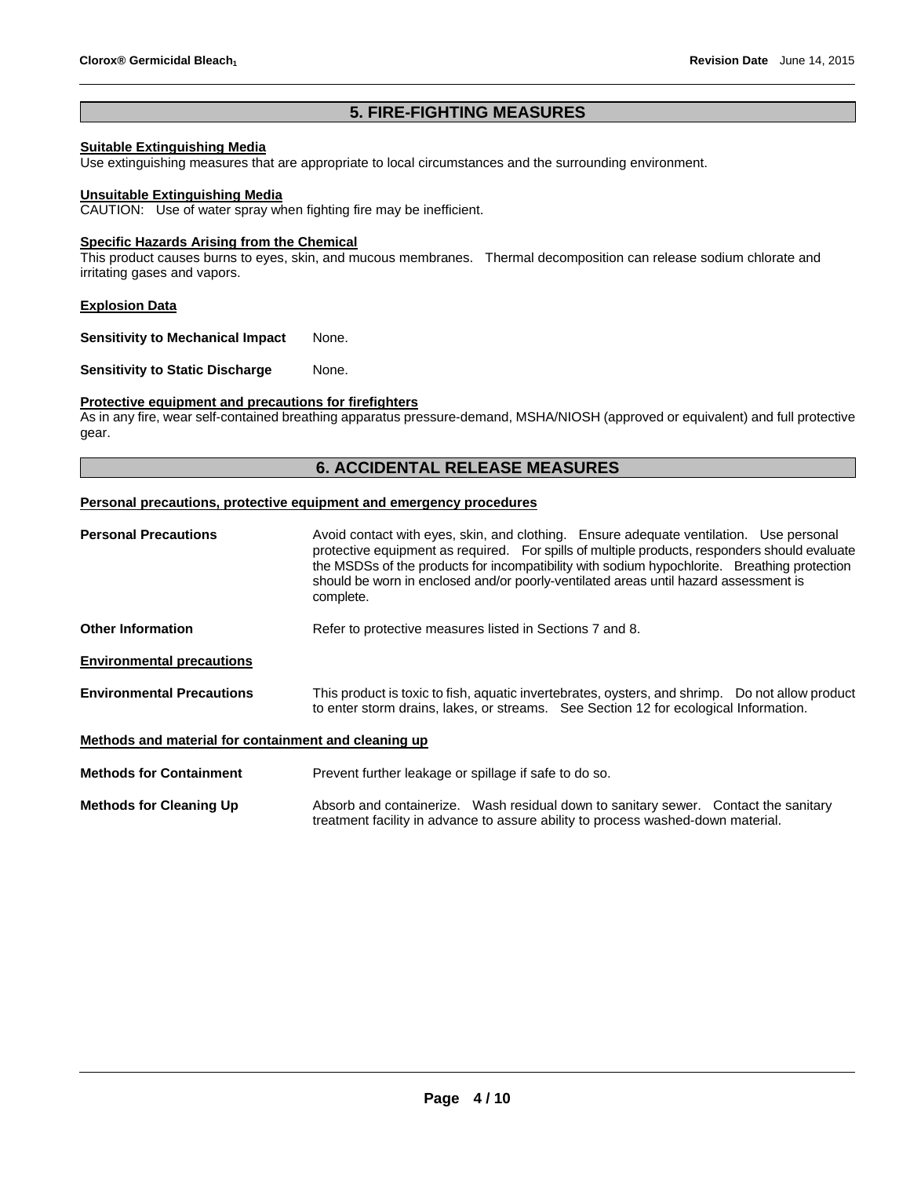# **5. FIRE-FIGHTING MEASURES**

# **Suitable Extinguishing Media**

Use extinguishing measures that are appropriate to local circumstances and the surrounding environment.

#### **Unsuitable Extinguishing Media**

CAUTION: Use of water spray when fighting fire may be inefficient.

#### **Specific Hazards Arising from the Chemical**

This product causes burns to eyes, skin, and mucous membranes. Thermal decomposition can release sodium chlorate and irritating gases and vapors.

#### **Explosion Data**

**Sensitivity to Mechanical Impact** None.

**Sensitivity to Static Discharge Mone.** 

# **Protective equipment and precautions for firefighters**

As in any fire, wear self-contained breathing apparatus pressure-demand, MSHA/NIOSH (approved or equivalent) and full protective gear.

# **6. ACCIDENTAL RELEASE MEASURES**

#### **Personal precautions, protective equipment and emergency procedures**

| <b>Personal Precautions</b>                          | Avoid contact with eyes, skin, and clothing. Ensure adequate ventilation. Use personal<br>protective equipment as required. For spills of multiple products, responders should evaluate<br>the MSDSs of the products for incompatibility with sodium hypochlorite. Breathing protection<br>should be worn in enclosed and/or poorly-ventilated areas until hazard assessment is<br>complete. |  |  |
|------------------------------------------------------|----------------------------------------------------------------------------------------------------------------------------------------------------------------------------------------------------------------------------------------------------------------------------------------------------------------------------------------------------------------------------------------------|--|--|
| <b>Other Information</b>                             | Refer to protective measures listed in Sections 7 and 8.                                                                                                                                                                                                                                                                                                                                     |  |  |
| <b>Environmental precautions</b>                     |                                                                                                                                                                                                                                                                                                                                                                                              |  |  |
| <b>Environmental Precautions</b>                     | This product is toxic to fish, aquatic invertebrates, oysters, and shrimp. Do not allow product<br>to enter storm drains, lakes, or streams. See Section 12 for ecological Information.                                                                                                                                                                                                      |  |  |
| Methods and material for containment and cleaning up |                                                                                                                                                                                                                                                                                                                                                                                              |  |  |
| <b>Methods for Containment</b>                       | Prevent further leakage or spillage if safe to do so.                                                                                                                                                                                                                                                                                                                                        |  |  |
| <b>Methods for Cleaning Up</b>                       | Absorb and containerize. Wash residual down to sanitary sewer. Contact the sanitary                                                                                                                                                                                                                                                                                                          |  |  |

treatment facility in advance to assure ability to process washed-down material.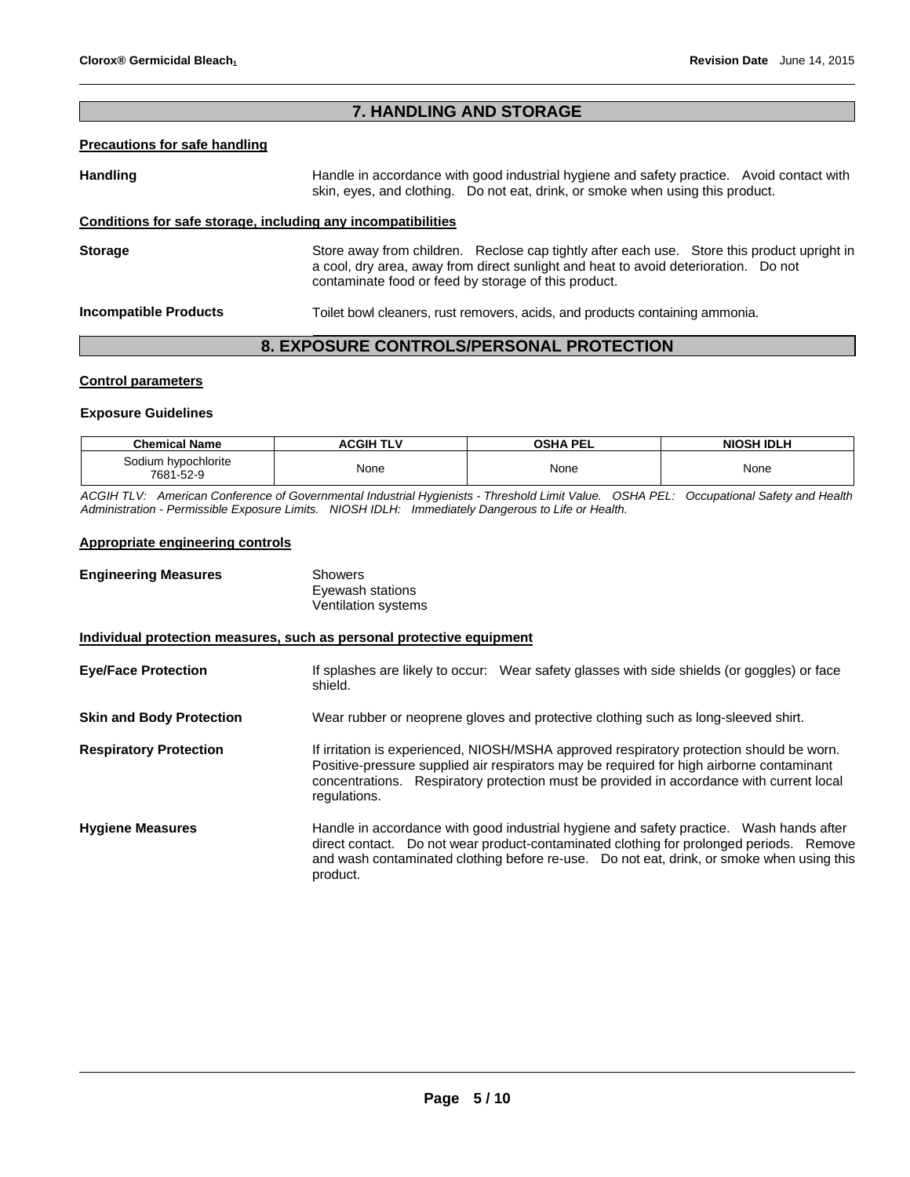# **7. HANDLING AND STORAGE**

# **Precautions for safe handling**

Handling **Handle in accordance with good industrial hygiene and safety practice. Avoid contact with and the Handle in accordance with good industrial hygiene and safety practice. Avoid contact with** skin, eyes, and clothing. Do not eat, drink, or smoke when using this product.

# **Conditions for safe storage, including any incompatibilities**

**Storage The Store away from children.** Reclose cap tightly after each use. Store this product upright in a cool, dry area, away from direct sunlight and heat to avoid deterioration. Do not contaminate food or feed by storage of this product.

**Incompatible Products** Toilet bowl cleaners, rust removers, acids, and products containing ammonia.

# **8. EXPOSURE CONTROLS/PERSONAL PROTECTION**

# **Control parameters**

#### **Exposure Guidelines**

| <b>Chemical Name</b>             | <b>ACGIH TLV</b> | <b>OSHA PEL</b> | <b>NIOSH IDLH</b> |
|----------------------------------|------------------|-----------------|-------------------|
| Sodium hypochlorite<br>7681-52-9 | None             | None            | None              |

*ACGIH TLV: American Conference of Governmental Industrial Hygienists - Threshold Limit Value. OSHA PEL: Occupational Safety and Health Administration - Permissible Exposure Limits. NIOSH IDLH: Immediately Dangerous to Life or Health.* 

# **Appropriate engineering controls**

| <b>Engineering Measures</b>                                           | <b>Showers</b><br>Eyewash stations<br>Ventilation systems                                                                                                                                                                                                                                        |
|-----------------------------------------------------------------------|--------------------------------------------------------------------------------------------------------------------------------------------------------------------------------------------------------------------------------------------------------------------------------------------------|
| Individual protection measures, such as personal protective equipment |                                                                                                                                                                                                                                                                                                  |
| <b>Eye/Face Protection</b>                                            | If splashes are likely to occur: Wear safety glasses with side shields (or goggles) or face<br>shield.                                                                                                                                                                                           |
| <b>Skin and Body Protection</b>                                       | Wear rubber or neoprene gloves and protective clothing such as long-sleeved shirt.                                                                                                                                                                                                               |
| <b>Respiratory Protection</b>                                         | If irritation is experienced, NIOSH/MSHA approved respiratory protection should be worn.<br>Positive-pressure supplied air respirators may be required for high airborne contaminant<br>concentrations. Respiratory protection must be provided in accordance with current local<br>regulations. |
| <b>Hygiene Measures</b>                                               | Handle in accordance with good industrial hygiene and safety practice. Wash hands after<br>direct contact. Do not wear product-contaminated clothing for prolonged periods. Remove<br>and wash contaminated clothing before re-use.  Do not eat, drink, or smoke when using this<br>product.     |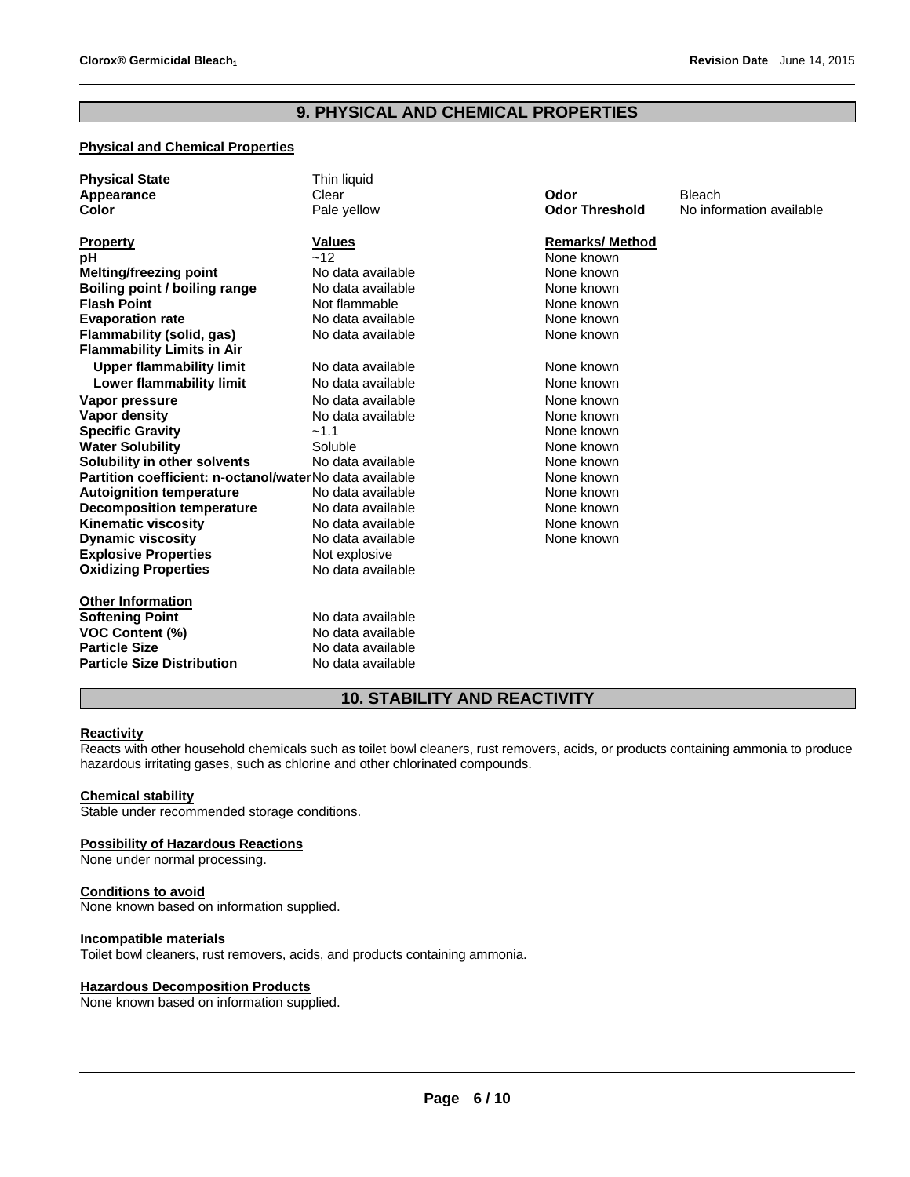# **9. PHYSICAL AND CHEMICAL PROPERTIES**

# **Physical and Chemical Properties**

| <b>Physical State</b>                                   | Thin liquid       |                       |                          |
|---------------------------------------------------------|-------------------|-----------------------|--------------------------|
| Appearance                                              | Clear             | Odor                  | <b>Bleach</b>            |
| Color                                                   | Pale yellow       | <b>Odor Threshold</b> | No information available |
|                                                         | <b>Values</b>     | <b>Remarks/Method</b> |                          |
| <b>Property</b>                                         | ~12               | None known            |                          |
| рH                                                      |                   | None known            |                          |
| Melting/freezing point                                  | No data available |                       |                          |
| Boiling point / boiling range                           | No data available | None known            |                          |
| <b>Flash Point</b>                                      | Not flammable     | None known            |                          |
| <b>Evaporation rate</b>                                 | No data available | None known            |                          |
| Flammability (solid, gas)                               | No data available | None known            |                          |
| <b>Flammability Limits in Air</b>                       |                   |                       |                          |
| <b>Upper flammability limit</b>                         | No data available | None known            |                          |
| Lower flammability limit                                | No data available | None known            |                          |
| Vapor pressure                                          | No data available | None known            |                          |
| Vapor density                                           | No data available | None known            |                          |
| <b>Specific Gravity</b>                                 | $-1.1$            | None known            |                          |
| <b>Water Solubility</b>                                 | Soluble           | None known            |                          |
| Solubility in other solvents                            | No data available | None known            |                          |
| Partition coefficient: n-octanol/waterNo data available |                   | None known            |                          |
| <b>Autoignition temperature</b>                         | No data available | None known            |                          |
| <b>Decomposition temperature</b>                        | No data available | None known            |                          |
| <b>Kinematic viscosity</b>                              | No data available | None known            |                          |
| <b>Dynamic viscosity</b>                                | No data available | None known            |                          |
| <b>Explosive Properties</b>                             | Not explosive     |                       |                          |
| <b>Oxidizing Properties</b>                             | No data available |                       |                          |
|                                                         |                   |                       |                          |
| <b>Other Information</b>                                |                   |                       |                          |
| <b>Softening Point</b>                                  | No data available |                       |                          |
| <b>VOC Content (%)</b>                                  | No data available |                       |                          |
| <b>Particle Size</b>                                    | No data available |                       |                          |
| <b>Particle Size Distribution</b>                       | No data available |                       |                          |

# **10. STABILITY AND REACTIVITY**

# **Reactivity**

Reacts with other household chemicals such as toilet bowl cleaners, rust removers, acids, or products containing ammonia to produce hazardous irritating gases, such as chlorine and other chlorinated compounds.

#### **Chemical stability**

Stable under recommended storage conditions.

#### **Possibility of Hazardous Reactions**

None under normal processing.

#### **Conditions to avoid**

None known based on information supplied.

# **Incompatible materials**

Toilet bowl cleaners, rust removers, acids, and products containing ammonia.

#### **Hazardous Decomposition Products**

None known based on information supplied.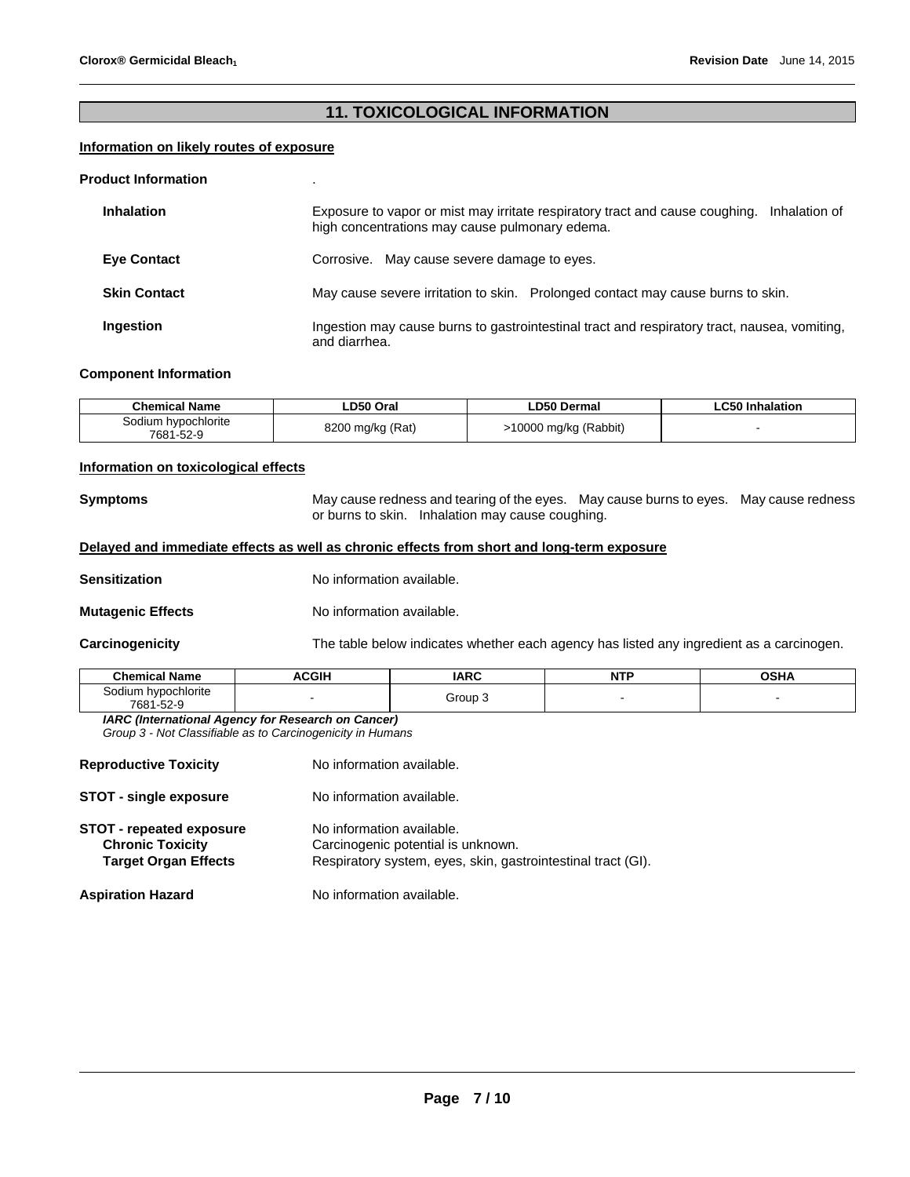# **11. TOXICOLOGICAL INFORMATION**

#### **Information on likely routes of exposure**

#### **Product Information** .

| <b>Inhalation</b>   | Exposure to vapor or mist may irritate respiratory tract and cause coughing. Inhalation of<br>high concentrations may cause pulmonary edema. |
|---------------------|----------------------------------------------------------------------------------------------------------------------------------------------|
| <b>Eye Contact</b>  | Corrosive. May cause severe damage to eyes.                                                                                                  |
| <b>Skin Contact</b> | May cause severe irritation to skin. Prolonged contact may cause burns to skin.                                                              |
| Ingestion           | Ingestion may cause burns to gastrointestinal tract and respiratory tract, nausea, vomiting,<br>and diarrhea.                                |

#### **Component Information**

| <b>Chemical Name</b>             | LD50 Oral        | <b>LD50 Dermal</b>    | <b>LC50 Inhalation</b> |
|----------------------------------|------------------|-----------------------|------------------------|
| Sodium hypochlorite<br>7681-52-9 | 8200 mg/kg (Rat) | >10000 mg/kg (Rabbit) |                        |

# **Information on toxicological effects**

**Symptoms** May cause redness and tearing of the eyes. May cause burns to eyes. May cause redness or burns to skin. Inhalation may cause coughing.

# **Delayed and immediate effects as well as chronic effects from short and long-term exposure**

**Sensitization No information available.** 

**Mutagenic Effects** No information available.

**Carcinogenicity** The table below indicates whether each agency has listed any ingredient as a carcinogen.

| Name<br>"ham.                                                  | C <sub>0</sub><br>ווט | <b>IARC</b> | <b>NTP</b><br>. | <b>OCU</b> |
|----------------------------------------------------------------|-----------------------|-------------|-----------------|------------|
| hvpochlorite<br>`odilim<br>$\sim$ $\sim$<br>7681-<br>.<br>$ -$ |                       | Group       |                 |            |

*IARC (International Agency for Research on Cancer) Group 3 - Not Classifiable as to Carcinogenicity in Humans* 

| <b>Reproductive Toxicity</b>                                                              | No information available.                                                                                                       |
|-------------------------------------------------------------------------------------------|---------------------------------------------------------------------------------------------------------------------------------|
| <b>STOT - single exposure</b>                                                             | No information available.                                                                                                       |
| <b>STOT - repeated exposure</b><br><b>Chronic Toxicity</b><br><b>Target Organ Effects</b> | No information available.<br>Carcinogenic potential is unknown.<br>Respiratory system, eyes, skin, gastrointestinal tract (GI). |
| <b>Aspiration Hazard</b>                                                                  | No information available.                                                                                                       |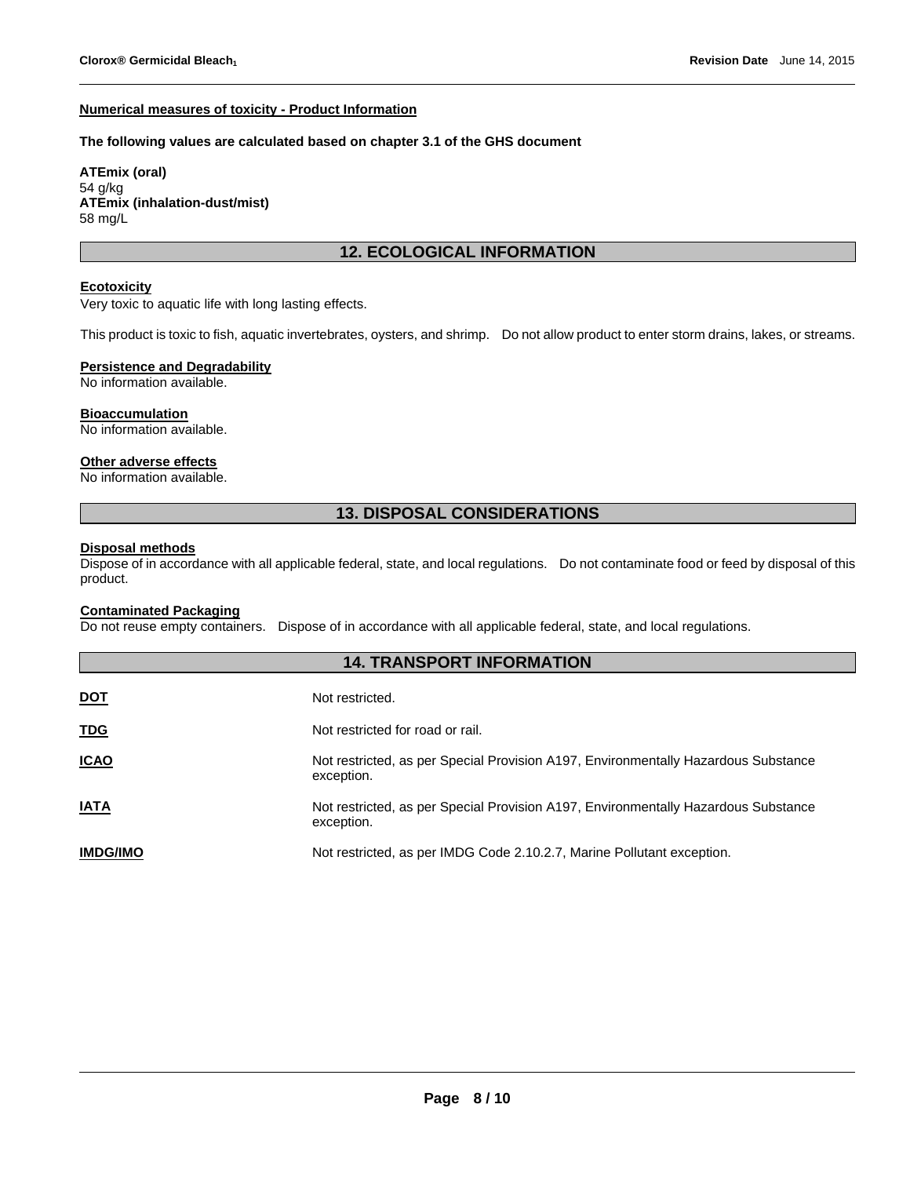#### **Numerical measures of toxicity - Product Information**

#### **The following values are calculated based on chapter 3.1 of the GHS document**

**ATEmix (oral)** 54 g/kg **ATEmix (inhalation-dust/mist)** 58 mg/L

# **12. ECOLOGICAL INFORMATION**

#### **Ecotoxicity**

Very toxic to aquatic life with long lasting effects.

This product is toxic to fish, aquatic invertebrates, oysters, and shrimp. Do not allow product to enter storm drains, lakes, or streams.

# **Persistence and Degradability**

No information available.

# **Bioaccumulation**

No information available.

# **Other adverse effects**

No information available.

# **13. DISPOSAL CONSIDERATIONS**

# **Disposal methods**

Dispose of in accordance with all applicable federal, state, and local regulations. Do not contaminate food or feed by disposal of this product.

# **Contaminated Packaging**

Do not reuse empty containers. Dispose of in accordance with all applicable federal, state, and local regulations.

| <b>14. TRANSPORT INFORMATION</b> |                                                                                                  |  |  |  |
|----------------------------------|--------------------------------------------------------------------------------------------------|--|--|--|
| <b>DOT</b>                       | Not restricted.                                                                                  |  |  |  |
| <b>TDG</b>                       | Not restricted for road or rail.                                                                 |  |  |  |
| <b>ICAO</b>                      | Not restricted, as per Special Provision A197, Environmentally Hazardous Substance<br>exception. |  |  |  |
| <b>IATA</b>                      | Not restricted, as per Special Provision A197, Environmentally Hazardous Substance<br>exception. |  |  |  |
| <b>IMDG/IMO</b>                  | Not restricted, as per IMDG Code 2.10.2.7, Marine Pollutant exception.                           |  |  |  |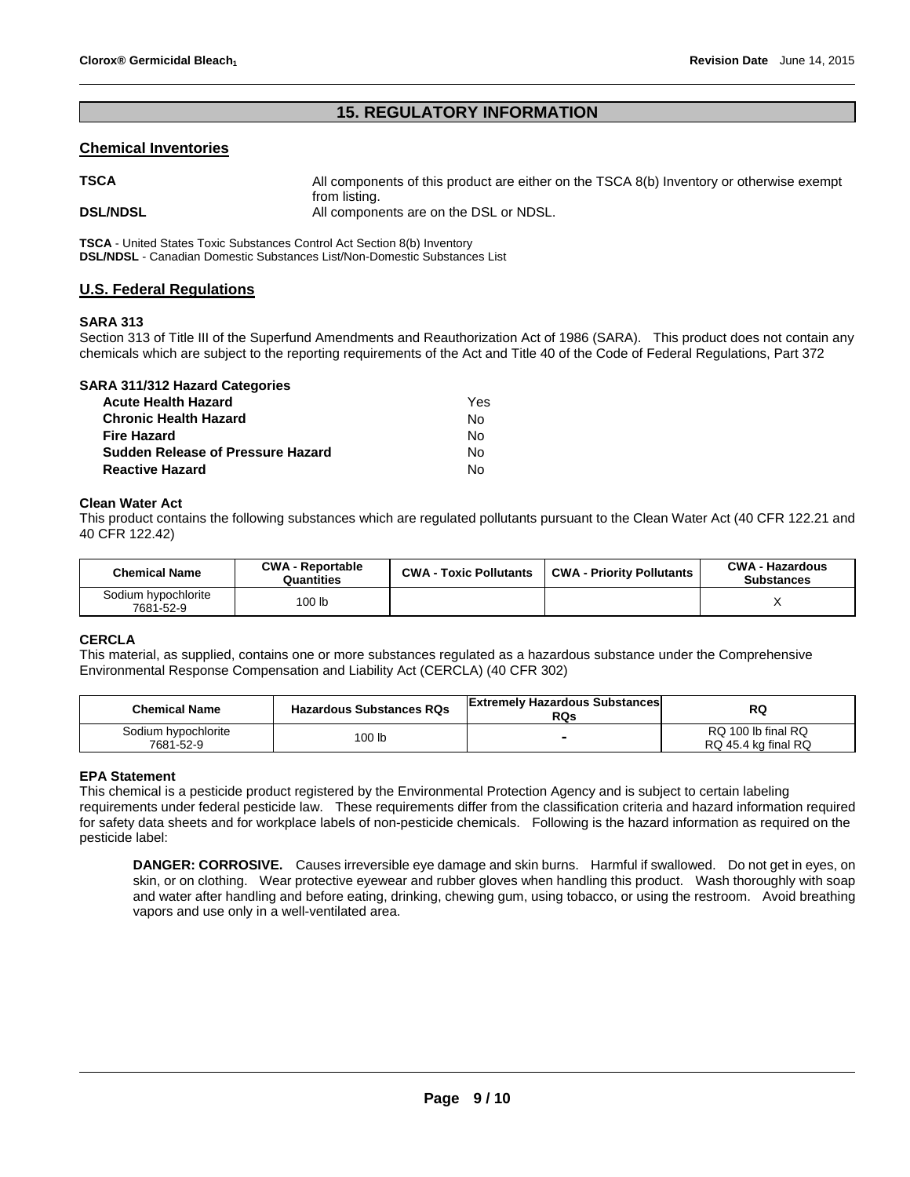# **15. REGULATORY INFORMATION**

## **Chemical Inventories**

| <b>TSCA</b>     | All components of this product are either on the TSCA 8(b) Inventory or otherwise exempt |
|-----------------|------------------------------------------------------------------------------------------|
| <b>DSL/NDSL</b> | from listing.<br>All components are on the DSL or NDSL.                                  |

**TSCA** - United States Toxic Substances Control Act Section 8(b) Inventory **DSL/NDSL** - Canadian Domestic Substances List/Non-Domestic Substances List

# **U.S. Federal Regulations**

#### **SARA 313**

Section 313 of Title III of the Superfund Amendments and Reauthorization Act of 1986 (SARA). This product does not contain any chemicals which are subject to the reporting requirements of the Act and Title 40 of the Code of Federal Regulations, Part 372

| SARA 311/312 Hazard Categories           |     |
|------------------------------------------|-----|
| <b>Acute Health Hazard</b>               | Yes |
| <b>Chronic Health Hazard</b>             | No  |
| <b>Fire Hazard</b>                       | N٥  |
| <b>Sudden Release of Pressure Hazard</b> | No  |
| <b>Reactive Hazard</b>                   | N٥  |

#### **Clean Water Act**

This product contains the following substances which are regulated pollutants pursuant to the Clean Water Act (40 CFR 122.21 and 40 CFR 122.42)

| <b>Chemical Name</b>             | <b>CWA - Reportable</b><br>Quantities | <b>CWA - Toxic Pollutants</b> | <b>CWA - Priority Pollutants</b> | <b>CWA - Hazardous</b><br><b>Substances</b> |  |
|----------------------------------|---------------------------------------|-------------------------------|----------------------------------|---------------------------------------------|--|
| Sodium hypochlorite<br>7681-52-9 | 100 <sub>lb</sub>                     |                               |                                  |                                             |  |

# **CERCLA**

This material, as supplied, contains one or more substances regulated as a hazardous substance under the Comprehensive Environmental Response Compensation and Liability Act (CERCLA) (40 CFR 302)

| <b>Chemical Name</b>             | <b>Hazardous Substances RQs</b> | <b>Extremely Hazardous Substances</b><br><b>RQs</b> | RQ                                        |
|----------------------------------|---------------------------------|-----------------------------------------------------|-------------------------------------------|
| Sodium hypochlorite<br>7681-52-9 | 100 lb                          | -                                                   | RQ 100 lb final RQ<br>RQ 45.4 kg final RQ |

#### **EPA Statement**

This chemical is a pesticide product registered by the Environmental Protection Agency and is subject to certain labeling requirements under federal pesticide law. These requirements differ from the classification criteria and hazard information required for safety data sheets and for workplace labels of non-pesticide chemicals. Following is the hazard information as required on the pesticide label:

**DANGER: CORROSIVE.** Causes irreversible eye damage and skin burns. Harmful if swallowed. Do not get in eyes, on skin, or on clothing. Wear protective eyewear and rubber gloves when handling this product. Wash thoroughly with soap and water after handling and before eating, drinking, chewing gum, using tobacco, or using the restroom. Avoid breathing vapors and use only in a well-ventilated area.